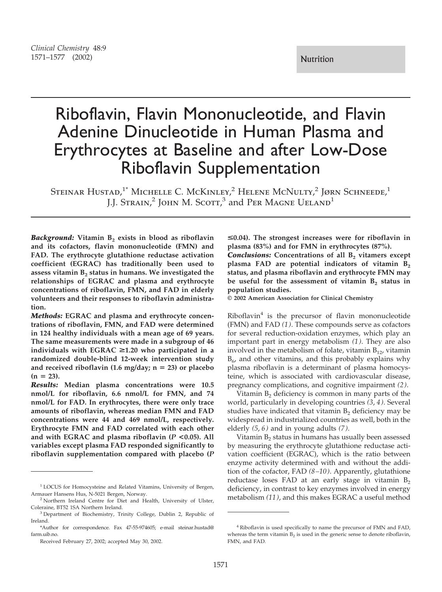# Riboflavin, Flavin Mononucleotide, and Flavin Adenine Dinucleotide in Human Plasma and Erythrocytes at Baseline and after Low-Dose Riboflavin Supplementation

STEINAR HUSTAD,<sup>1\*</sup> MICHELLE C. McKINLEY,<sup>2</sup> HELENE MCNULTY,<sup>2</sup> JØRN SCHNEEDE,<sup>1</sup> J.J. STRAIN,<sup>2</sup> JOHN M. SCOTT,<sup>3</sup> and PER MAGNE UELAND<sup>1</sup>

**Background:** Vitamin B<sub>2</sub> exists in blood as riboflavin **and its cofactors, flavin mononucleotide (FMN) and FAD. The erythrocyte glutathione reductase activation coefficient (EGRAC) has traditionally been used to** assess vitamin B<sub>2</sub> status in humans. We investigated the **relationships of EGRAC and plasma and erythrocyte concentrations of riboflavin, FMN, and FAD in elderly volunteers and their responses to riboflavin administration.**

*Methods:* **EGRAC and plasma and erythrocyte concentrations of riboflavin, FMN, and FAD were determined in 124 healthy individuals with a mean age of 69 years. The same measurements were made in a subgroup of 46 individuals with EGRAC** >**1.20 who participated in a randomized double-blind 12-week intervention study** and received riboflavin  $(1.6 \text{ mg/day}; n = 23)$  or placebo  $(n = 23)$ .

*Results:* **Median plasma concentrations were 10.5 nmol/L for riboflavin, 6.6 nmol/L for FMN, and 74 nmol/L for FAD. In erythrocytes, there were only trace amounts of riboflavin, whereas median FMN and FAD concentrations were 44 and 469 nmol/L, respectively. Erythrocyte FMN and FAD correlated with each other and with EGRAC and plasma riboflavin (***P* **<0.05). All variables except plasma FAD responded significantly to riboflavin supplementation compared with placebo (***P*

<**0.04). The strongest increases were for riboflavin in plasma (83%) and for FMN in erythrocytes (87%). Conclusions:** Concentrations of all B<sub>2</sub> vitamers except plasma FAD are potential indicators of vitamin B<sub>2</sub> **status, and plasma riboflavin and erythrocyte FMN may** be useful for the assessment of vitamin B<sub>2</sub> status in **population studies.**

**© 2002 American Association for Clinical Chemistry**

 $Riboflavin<sup>4</sup>$  is the precursor of flavin mononucleotide (FMN) and FAD *(1)*. These compounds serve as cofactors for several reduction-oxidation enzymes, which play an important part in energy metabolism *(1)*. They are also involved in the metabolism of folate, vitamin  $B_{12}$ , vitamin  $B_6$ , and other vitamins, and this probably explains why plasma riboflavin is a determinant of plasma homocysteine, which is associated with cardiovascular disease, pregnancy complications, and cognitive impairment *(2)*.

Vitamin  $B_2$  deficiency is common in many parts of the world, particularly in developing countries *(3*, *4)*. Several studies have indicated that vitamin  $B<sub>2</sub>$  deficiency may be widespread in industrialized countries as well, both in the elderly *(5*, *6)* and in young adults *(7)*.

Vitamin  $B_2$  status in humans has usually been assessed by measuring the erythrocyte glutathione reductase activation coefficient (EGRAC), which is the ratio between enzyme activity determined with and without the addition of the cofactor, FAD *(8–10)*. Apparently, glutathione reductase loses FAD at an early stage in vitamin  $B_2$ deficiency, in contrast to key enzymes involved in energy metabolism *(11)*, and this makes EGRAC a useful method

<sup>&</sup>lt;sup>1</sup> LOCUS for Homocysteine and Related Vitamins, University of Bergen, Armauer Hansens Hus, N-5021 Bergen, Norway.

<sup>2</sup> Northern Ireland Centre for Diet and Health, University of Ulster, Coleraine, BT52 1SA Northern Ireland.

<sup>3</sup> Department of Biochemistry, Trinity College, Dublin 2, Republic of Ireland.

<sup>\*</sup>Author for correspondence. Fax 47-55-974605; e-mail steinar.hustad@ farm.uib.no.

Received February 27, 2002; accepted May 30, 2002.

<sup>4</sup> Riboflavin is used specifically to name the precursor of FMN and FAD, whereas the term vitamin  $B_2$  is used in the generic sense to denote riboflavin, FMN, and FAD.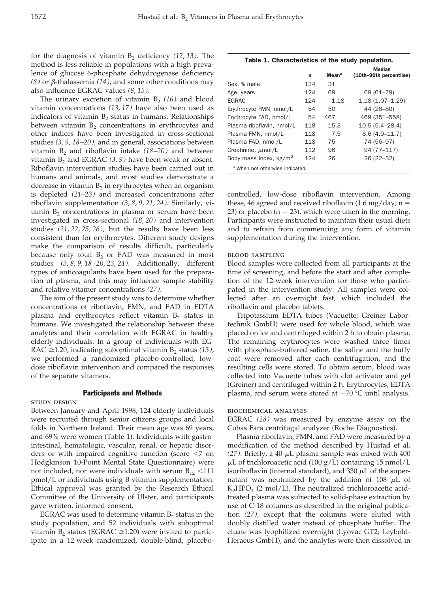for the diagnosis of vitamin B<sub>2</sub> deficiency (12, 13). The method is less reliable in populations with a high prevalence of glucose 6-phosphate dehydrogenase deficiency  $(8)$  or  $\beta$ -thalassemia  $(14)$ , and some other conditions may also influence EGRAC values *(8*, *15)*.

The urinary excretion of vitamin  $B_2$  (16) and blood vitamin concentrations *(13*, *17)* have also been used as indicators of vitamin  $B_2$  status in humans. Relationships between vitamin  $B_2$  concentrations in erythrocytes and other indices have been investigated in cross-sectional studies *(3*, *9*, *18–20)*, and in general, associations between vitamin  $B_2$  and riboflavin intake  $(18–20)$  and between vitamin  $B_2$  and EGRAC  $(3, 9)$  have been weak or absent. Riboflavin intervention studies have been carried out in humans and animals, and most studies demonstrate a decrease in vitamin  $B_2$  in erythrocytes when an organism is depleted *(21–23)* and increased concentrations after riboflavin supplementation *(3*, *8*, *9*, *21*, *24)*. Similarly, vi $t_{2}$  concentrations in plasma or serum have been investigated in cross-sectional *(18*, *20)* and intervention studies *(21*, *22*, *25*, *26)*, but the results have been less consistent than for erythrocytes. Different study designs make the comparison of results difficult, particularly because only total  $B_2$  or FAD was measured in most studies *(3*, *8*, *9*, *18–20*, *23*, *24)*. Additionally, different types of anticoagulants have been used for the preparation of plasma, and this may influence sample stability and relative vitamer concentrations *(27)*.

The aim of the present study was to determine whether concentrations of riboflavin, FMN, and FAD in EDTA plasma and erythrocytes reflect vitamin  $B_2$  status in humans. We investigated the relationship between these analytes and their correlation with EGRAC in healthy elderly individuals. In a group of individuals with EG-RAC  $\geq$ 1.20, indicating suboptimal vitamin  $B_2$  status (13), we performed a randomized placebo-controlled, lowdose riboflavin intervention and compared the responses of the separate vitamers.

#### Participants and Methods

#### study design

Between January and April 1998, 124 elderly individuals were recruited through senior citizens groups and local folds in Northern Ireland. Their mean age was 69 years, and 69% were women (Table 1). Individuals with gastrointestinal, hematologic, vascular, renal, or hepatic disorders or with impaired cognitive function (score  $\leq 7$  on Hodgkinson 10-Point Mental State Questionnaire) were not included, nor were individuals with serum  $B_{12}$  <111 pmol/L or individuals using B-vitamin supplementation. Ethical approval was granted by the Research Ethical Committee of the University of Ulster, and participants gave written, informed consent.

EGRAC was used to determine vitamin  $B<sub>2</sub>$  status in the study population, and 52 individuals with suboptimal vitamin  $B_2$  status (EGRAC  $\geq$ 1.20) were invited to participate in a 12-week randomized, double-blind, placebo-

|  | Table 1. Characteristics of the study population. |
|--|---------------------------------------------------|
|--|---------------------------------------------------|

|                                 |     |                   | <b>Median</b>           |
|---------------------------------|-----|-------------------|-------------------------|
|                                 | n   | Mean <sup>a</sup> | (10th-90th percentiles) |
| Sex. % male                     | 124 | 31                |                         |
| Age, years                      | 124 | 69                | 69 (61-79)              |
| <b>FGRAC</b>                    | 124 | 1.18              | $1.18(1.07 - 1.29)$     |
| Erythrocyte FMN, nmol/L         | 54  | 50                | 44 (26-80)              |
| Erythrocyte FAD, nmol/L         | 54  | 467               | 469 (351-558)           |
| Plasma riboflavin, nmol/L       | 118 | 15.3              | $10.5(5.4 - 28.4)$      |
| Plasma FMN, nmol/L              | 118 | 7.5               | $6.6(4.0-11.7)$         |
| Plasma FAD, nmol/L              | 118 | 75                | 74 (56-97)              |
| Creatinine, $\mu$ mol/L         | 112 | 96                | 94 (77-117)             |
| Body mass index, $kg/m2$        | 124 | 26                | 26 (22-32)              |
| a When not otherwise indicated. |     |                   |                         |

controlled, low-dose riboflavin intervention. Among these, 46 agreed and received riboflavin (1.6 mg/day;  $n =$ 23) or placebo ( $n = 23$ ), which were taken in the morning. Participants were instructed to maintain their usual diets and to refrain from commencing any form of vitamin supplementation during the intervention.

#### blood sampling

Blood samples were collected from all participants at the time of screening, and before the start and after completion of the 12-week intervention for those who participated in the intervention study. All samples were collected after an overnight fast, which included the riboflavin and placebo tablets.

Tripotassium EDTA tubes (Vacuette; Greiner Labortechnik GmbH) were used for whole blood, which was placed on ice and centrifuged within 2 h to obtain plasma. The remaining erythrocytes were washed three times with phosphate-buffered saline, the saline and the buffy coat were removed after each centrifugation, and the resulting cells were stored. To obtain serum, blood was collected into Vacuette tubes with clot activator and gel (Greiner) and centrifuged within 2 h. Erythrocytes, EDTA plasma, and serum were stored at  $-70$  °C until analysis.

### biochemical analyses

EGRAC *(28)* was measured by enzyme assay on the Cobas Fara centrifugal analyzer (Roche Diagnostics).

Plasma riboflavin, FMN, and FAD were measured by a modification of the method described by Hustad et al.  $(27)$ . Briefly, a  $40$ - $\mu$ L plasma sample was mixed with  $400$  $\mu$ L of trichloroacetic acid (100 g/L) containing 15 nmol/L isoriboflavin (internal standard), and 330  $\mu$ L of the supernatant was neutralized by the addition of 108  $\mu$ L of  $K_2HPO_4$  (2 mol/L). The neutralized trichloroacetic acidtreated plasma was subjected to solid-phase extraction by use of C-18 columns as described in the original publication *(27)*, except that the columns were eluted with doubly distilled water instead of phosphate buffer. The eluate was lyophilized overnight (Lyovac GT2; Leybold-Heraeus GmbH), and the analytes were then dissolved in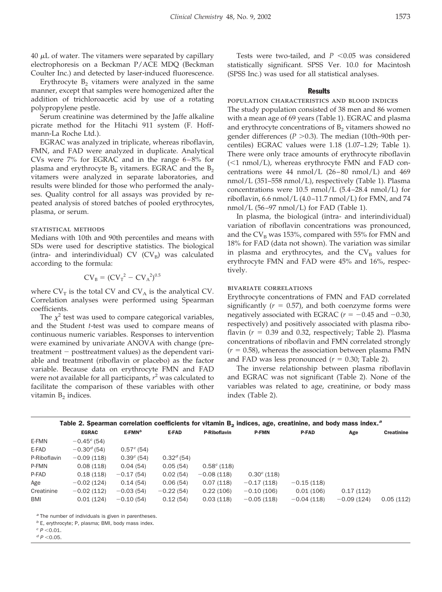$40 \mu L$  of water. The vitamers were separated by capillary electrophoresis on a Beckman P/ACE MDQ (Beckman Coulter Inc.) and detected by laser-induced fluorescence.

Erythrocyte  $B_2$  vitamers were analyzed in the same manner, except that samples were homogenized after the addition of trichloroacetic acid by use of a rotating polypropylene pestle.

Serum creatinine was determined by the Jaffe alkaline picrate method for the Hitachi 911 system (F. Hoffmann-La Roche Ltd.).

EGRAC was analyzed in triplicate, whereas riboflavin, FMN, and FAD were analyzed in duplicate. Analytical CVs were 7% for EGRAC and in the range 6–8% for plasma and erythrocyte  $B_2$  vitamers. EGRAC and the  $B_2$ vitamers were analyzed in separate laboratories, and results were blinded for those who performed the analyses. Quality control for all assays was provided by repeated analysis of stored batches of pooled erythrocytes, plasma, or serum.

## statistical methods

Medians with 10th and 90th percentiles and means with SDs were used for descriptive statistics. The biological (intra- and interindividual) CV  $(CV_B)$  was calculated according to the formula:

$$
CV_B = (CV_T^2 - CV_A^2)^{0.5}
$$

where  $CV_T$  is the total CV and  $CV_A$  is the analytical CV. Correlation analyses were performed using Spearman coefficients.

The  $\chi^2$  test was used to compare categorical variables, and the Student *t*-test was used to compare means of continuous numeric variables. Responses to intervention were examined by univariate ANOVA with change (pretreatment  $-$  posttreatment values) as the dependent variable and treatment (riboflavin or placebo) as the factor variable. Because data on erythrocyte FMN and FAD were not available for all participants, *r* <sup>2</sup> was calculated to facilitate the comparison of these variables with other vitamin  $B_2$  indices.

Tests were two-tailed, and  $P < 0.05$  was considered statistically significant. SPSS Ver. 10.0 for Macintosh (SPSS Inc.) was used for all statistical analyses.

## **Results**

population characteristics and blood indices The study population consisted of 38 men and 86 women with a mean age of 69 years (Table 1). EGRAC and plasma and erythrocyte concentrations of  $B<sub>2</sub>$  vitamers showed no gender differences ( $P > 0.3$ ). The median (10th–90th percentiles) EGRAC values were 1.18 (1.07–1.29; Table 1). There were only trace amounts of erythrocyte riboflavin  $(<1$  nmol/L), whereas erythrocyte FMN and FAD concentrations were 44 nmol/L  $(26-80 \text{ nmol/L})$  and 469 nmol/L (351–558 nmol/L), respectively (Table 1). Plasma concentrations were 10.5 nmol/L (5.4–28.4 nmol/L) for riboflavin, 6.6 nmol/L  $(4.0-11.7 \text{ nmol/L})$  for FMN, and 74 nmol/L (56–97 nmol/L) for FAD (Table 1).

In plasma, the biological (intra- and interindividual) variation of riboflavin concentrations was pronounced, and the  $CV_B$  was 153%, compared with 55% for FMN and 18% for FAD (data not shown). The variation was similar in plasma and erythrocytes, and the  $CV_B$  values for erythrocyte FMN and FAD were 45% and 16%, respectively.

## bivariate correlations

Erythrocyte concentrations of FMN and FAD correlated significantly  $(r = 0.57)$ , and both coenzyme forms were negatively associated with EGRAC ( $r = -0.45$  and  $-0.30$ , respectively) and positively associated with plasma riboflavin  $(r = 0.39$  and 0.32, respectively; Table 2). Plasma concentrations of riboflavin and FMN correlated strongly  $(r = 0.58)$ , whereas the association between plasma FMN and FAD was less pronounced  $(r = 0.30;$  Table 2).

The inverse relationship between plasma riboflavin and EGRAC was not significant (Table 2). None of the variables was related to age, creatinine, or body mass index (Table 2).

|              | Table 2. Spearman correlation coefficients for vitamin $B_2$ indices, age, creatinine, and body mass index. <sup>3</sup> |                       |              |               |                  |              |              |                   |
|--------------|--------------------------------------------------------------------------------------------------------------------------|-----------------------|--------------|---------------|------------------|--------------|--------------|-------------------|
|              | <b>EGRAC</b>                                                                                                             | $E$ -FMN <sup>b</sup> | E-FAD        | P-Riboflavin  | <b>P-FMN</b>     | <b>P-FAD</b> | Age          | <b>Creatinine</b> |
| E-FMN        | $-0.45^c(54)$                                                                                                            |                       |              |               |                  |              |              |                   |
| E-FAD        | $-0.30d$ (54)                                                                                                            | $0.57^{\circ}$ (54)   |              |               |                  |              |              |                   |
| P-Riboflavin | $-0.09(118)$                                                                                                             | $0.39^{\circ}$ (54)   | $0.32^d(54)$ |               |                  |              |              |                   |
| P-FMN        | 0.08(118)                                                                                                                | 0.04(54)              | 0.05(54)     | $0.58^c(118)$ |                  |              |              |                   |
| P-FAD        | 0.18(118)                                                                                                                | $-0.17(54)$           | 0.02(54)     | $-0.08(118)$  | $0.30^{c}$ (118) |              |              |                   |
| Age          | $-0.02(124)$                                                                                                             | 0.14(54)              | 0.06(54)     | 0.07(118)     | $-0.17(118)$     | $-0.15(118)$ |              |                   |
| Creatinine   | $-0.02(112)$                                                                                                             | $-0.03(54)$           | $-0.22(54)$  | 0.22(106)     | $-0.10(106)$     | 0.01(106)    | 0.17(112)    |                   |
| <b>BMI</b>   | 0.01(124)                                                                                                                | $-0.10(54)$           | 0.12(54)     | 0.03(118)     | $-0.05(118)$     | $-0.04(118)$ | $-0.09(124)$ | 0.05(112)         |

*<sup>a</sup>* The number of individuals is given in parentheses.

*<sup>b</sup>* E, erythrocyte; P, plasma; BMI, body mass index.

 $c$   $P < 0.01$ .

 $^{d}P$  < 0.05.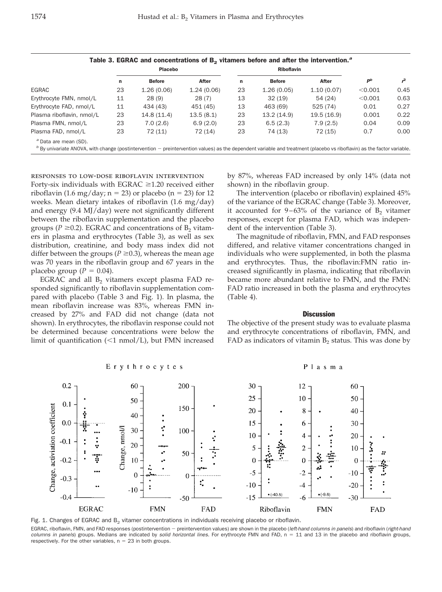|                                                                                                                                                                                                                |    | <b>Placebo</b> |            |    | <b>Riboflavin</b> |             |         |      |
|----------------------------------------------------------------------------------------------------------------------------------------------------------------------------------------------------------------|----|----------------|------------|----|-------------------|-------------|---------|------|
|                                                                                                                                                                                                                | n  | <b>Before</b>  | After      | n  | <b>Before</b>     | After       | $P^b$   |      |
| EGRAC                                                                                                                                                                                                          | 23 | 1.26(0.06)     | 1.24(0.06) | 23 | 1.26(0.05)        | 1.10(0.07)  | < 0.001 | 0.45 |
| Erythrocyte FMN, nmol/L                                                                                                                                                                                        | 11 | 28(9)          | 28(7)      | 13 | 32(19)            | 54(24)      | < 0.001 | 0.63 |
| Erythrocyte FAD, nmol/L                                                                                                                                                                                        | 11 | 434 (43)       | 451 (45)   | 13 | 463 (69)          | 525 (74)    | 0.01    | 0.27 |
| Plasma riboflavin, nmol/L                                                                                                                                                                                      | 23 | 14.8(11.4)     | 13.5(8.1)  | 23 | 13.2(14.9)        | 19.5 (16.9) | 0.001   | 0.22 |
| Plasma FMN, nmol/L                                                                                                                                                                                             | 23 | 7.0(2.6)       | 6.9(2.0)   | 23 | 6.5(2.3)          | 7.9(2.5)    | 0.04    | 0.09 |
| Plasma FAD, nmol/L                                                                                                                                                                                             | 23 | 72(11)         | 72 (14)    | 23 | 74 (13)           | 72 (15)     | 0.7     | 0.00 |
| <sup>a</sup> Data are mean (SD).<br>$b$ By univariate ANOVA, with change (postintervention $-$ preintervention values) as the dependent variable and treatment (placebo vs riboflavin) as the factor variable. |    |                |            |    |                   |             |         |      |

Table 3. EGRAC and concentrations of B<sub>2</sub> vitamers before and after the intervention.<sup>*a*</sup>

responses to low-dose riboflavin intervention

Forty-six individuals with  $EGRAC \geq 1.20$  received either riboflavin (1.6 mg/day;  $n = 23$ ) or placebo ( $n = 23$ ) for 12 weeks. Mean dietary intakes of riboflavin (1.6 mg/day) and energy (9.4 MJ/day) were not significantly different between the riboflavin supplementation and the placebo groups ( $P \ge 0.2$ ). EGRAC and concentrations of  $B_2$  vitamers in plasma and erythrocytes (Table 3), as well as sex distribution, creatinine, and body mass index did not differ between the groups ( $P \ge 0.3$ ), whereas the mean age was 70 years in the riboflavin group and 67 years in the placebo group ( $P = 0.04$ ).

EGRAC and all  $B<sub>2</sub>$  vitamers except plasma FAD responded significantly to riboflavin supplementation compared with placebo (Table 3 and Fig. 1). In plasma, the mean riboflavin increase was 83%, whereas FMN increased by 27% and FAD did not change (data not shown). In erythrocytes, the riboflavin response could not be determined because concentrations were below the limit of quantification  $(\leq 1 \text{ nmol/L})$ , but FMN increased by 87%, whereas FAD increased by only 14% (data not shown) in the riboflavin group.

The intervention (placebo or riboflavin) explained 45% of the variance of the EGRAC change (Table 3). Moreover, it accounted for  $9-63\%$  of the variance of  $B<sub>2</sub>$  vitamer responses, except for plasma FAD, which was independent of the intervention (Table 3).

The magnitude of riboflavin, FMN, and FAD responses differed, and relative vitamer concentrations changed in individuals who were supplemented, in both the plasma and erythrocytes. Thus, the riboflavin:FMN ratio increased significantly in plasma, indicating that riboflavin became more abundant relative to FMN, and the FMN: FAD ratio increased in both the plasma and erythrocytes (Table 4).

#### **Discussion**

The objective of the present study was to evaluate plasma and erythrocyte concentrations of riboflavin, FMN, and FAD as indicators of vitamin  $B_2$  status. This was done by

Plasma



Erythrocytes



EGRAC, riboflavin, FMN, and FAD responses (postintervention - preintervention values) are shown in the placebo (left-hand columns in panels) and riboflavin (right-hand columns in panels) groups. Medians are indicated by solid horizontal lines. For erythrocyte FMN and FAD, n = 11 and 13 in the placebo and riboflavin groups, respectively. For the other variables,  $n = 23$  in both groups.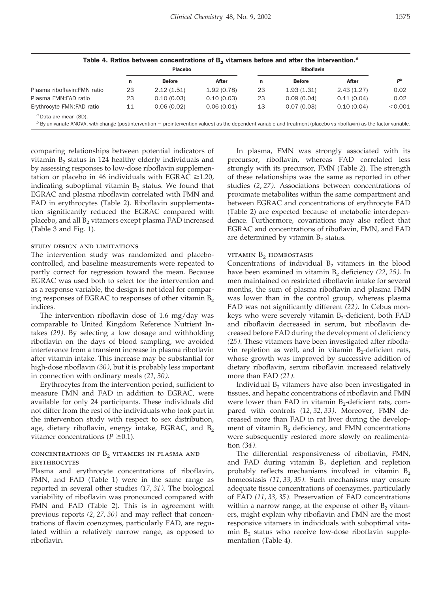| ۰<br>- - | I<br>÷<br>×<br>۰. | ۰, |
|----------|-------------------|----|
|          |                   |    |

|                                                                                                                                                                                                              | <b>Placebo</b> |               |            |    |               |            |         |
|--------------------------------------------------------------------------------------------------------------------------------------------------------------------------------------------------------------|----------------|---------------|------------|----|---------------|------------|---------|
|                                                                                                                                                                                                              | n              | <b>Before</b> | After      | n  | <b>Before</b> | After      | $P^b$   |
| Plasma riboflavin: FMN ratio                                                                                                                                                                                 | 23             | 2.12(1.51)    | 1.92(0.78) | 23 | 1.93(1.31)    | 2.43(1.27) | 0.02    |
| Plasma FMN:FAD ratio                                                                                                                                                                                         | 23             | 0.10(0.03)    | 0.10(0.03) | 23 | 0.09(0.04)    | 0.11(0.04) | 0.02    |
| Erythrocyte FMN:FAD ratio                                                                                                                                                                                    | 11             | 0.06(0.02)    | 0.06(0.01) | 13 | 0.07(0.03)    | 0.10(0.04) | < 0.001 |
| <sup>a</sup> Data are mean (SD).<br>$b$ By univariate ANOVA, with change (postintervention – preintervention values) as the dependent variable and treatment (placebo vs riboflavin) as the factor variable. |                |               |            |    |               |            |         |

comparing relationships between potential indicators of vitamin  $B_2$  status in 124 healthy elderly individuals and by assessing responses to low-dose riboflavin supplementation or placebo in 46 individuals with EGRAC  $\geq$ 1.20, indicating suboptimal vitamin  $B_2$  status. We found that EGRAC and plasma riboflavin correlated with FMN and FAD in erythrocytes (Table 2). Riboflavin supplementation significantly reduced the EGRAC compared with placebo, and all  $B_2$  vitamers except plasma FAD increased (Table 3 and Fig. 1).

## study design and limitations

The intervention study was randomized and placebocontrolled, and baseline measurements were repeated to partly correct for regression toward the mean. Because EGRAC was used both to select for the intervention and as a response variable, the design is not ideal for comparing responses of EGRAC to responses of other vitamin  $B_2$ indices.

The intervention riboflavin dose of 1.6 mg/day was comparable to United Kingdom Reference Nutrient Intakes *(29)*. By selecting a low dosage and withholding riboflavin on the days of blood sampling, we avoided interference from a transient increase in plasma riboflavin after vitamin intake. This increase may be substantial for high-dose riboflavin *(30)*, but it is probably less important in connection with ordinary meals *(21*, *30)*.

Erythrocytes from the intervention period, sufficient to measure FMN and FAD in addition to EGRAC, were available for only 24 participants. These individuals did not differ from the rest of the individuals who took part in the intervention study with respect to sex distribution, age, dietary riboflavin, energy intake, EGRAC, and  $B_2$ vitamer concentrations  $(P \geq 0.1)$ .

# concentrations of  $B_2$  vitamers in plasma and erythrocytes

Plasma and erythrocyte concentrations of riboflavin, FMN, and FAD (Table 1) were in the same range as reported in several other studies *(17*, *31)*. The biological variability of riboflavin was pronounced compared with FMN and FAD (Table 2). This is in agreement with previous reports *(2*, *27*, *30)* and may reflect that concentrations of flavin coenzymes, particularly FAD, are regulated within a relatively narrow range, as opposed to riboflavin.

In plasma, FMN was strongly associated with its precursor, riboflavin, whereas FAD correlated less strongly with its precursor, FMN (Table 2). The strength of these relationships was the same as reported in other studies *(2*, *27)*. Associations between concentrations of proximate metabolites within the same compartment and between EGRAC and concentrations of erythrocyte FAD (Table 2) are expected because of metabolic interdependence. Furthermore, covariations may also reflect that EGRAC and concentrations of riboflavin, FMN, and FAD are determined by vitamin  $B_2$  status.

#### vitamin  $B_2$  homeostasis

Concentrations of individual  $B_2$  vitamers in the blood have been examined in vitamin B<sub>2</sub> deficiency (22, 25). In men maintained on restricted riboflavin intake for several months, the sum of plasma riboflavin and plasma FMN was lower than in the control group, whereas plasma FAD was not significantly different *(22)*. In Cebus monkeys who were severely vitamin  $B_2$ -deficient, both FAD and riboflavin decreased in serum, but riboflavin decreased before FAD during the development of deficiency *(25)*. These vitamers have been investigated after riboflavin repletion as well, and in vitamin  $B_2$ -deficient rats, whose growth was improved by successive addition of dietary riboflavin, serum riboflavin increased relatively more than FAD *(21)*.

Individual B<sub>2</sub> vitamers have also been investigated in tissues, and hepatic concentrations of riboflavin and FMN were lower than FAD in vitamin  $B_2$ -deficient rats, compared with controls *(12*, *32*, *33)*. Moreover, FMN decreased more than FAD in rat liver during the development of vitamin  $B_2$  deficiency, and FMN concentrations were subsequently restored more slowly on realimentation *(34)*.

The differential responsiveness of riboflavin, FMN, and FAD during vitamin  $B_2$  depletion and repletion probably reflects mechanisms involved in vitamin  $B_2$ homeostasis *(11*, *33*, *35)*. Such mechanisms may ensure adequate tissue concentrations of coenzymes, particularly of FAD *(11*, *33*, *35)*. Preservation of FAD concentrations within a narrow range, at the expense of other  $B_2$  vitamers, might explain why riboflavin and FMN are the most responsive vitamers in individuals with suboptimal vitamin  $B_2$  status who receive low-dose riboflavin supplementation (Table 4).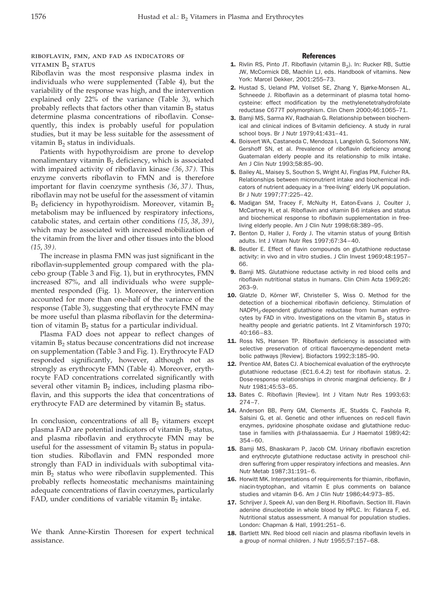# riboflavin, fmn, and fad as indicators of vitamin  $B_2$  status

Riboflavin was the most responsive plasma index in individuals who were supplemented (Table 4), but the variability of the response was high, and the intervention explained only 22% of the variance (Table 3), which probably reflects that factors other than vitamin B<sub>2</sub> status determine plasma concentrations of riboflavin. Consequently, this index is probably useful for population studies, but it may be less suitable for the assessment of vitamin  $B<sub>2</sub>$  status in individuals.

Patients with hypothyroidism are prone to develop nonalimentary vitamin  $B_2$  deficiency, which is associated with impaired activity of riboflavin kinase *(36*, *37)*. This enzyme converts riboflavin to FMN and is therefore important for flavin coenzyme synthesis *(36*, *37)*. Thus, riboflavin may not be useful for the assessment of vitamin  $B_2$  deficiency in hypothyroidism. Moreover, vitamin  $B_2$ metabolism may be influenced by respiratory infections, catabolic states, and certain other conditions *(15*, *38*, *39)*, which may be associated with increased mobilization of the vitamin from the liver and other tissues into the blood *(15*, *39)*.

The increase in plasma FMN was just significant in the riboflavin-supplemented group compared with the placebo group (Table 3 and Fig. 1), but in erythrocytes, FMN increased 87%, and all individuals who were supplemented responded (Fig. 1). Moreover, the intervention accounted for more than one-half of the variance of the response (Table 3), suggesting that erythrocyte FMN may be more useful than plasma riboflavin for the determination of vitamin  $B_2$  status for a particular individual.

Plasma FAD does not appear to reflect changes of vitamin  $B<sub>2</sub>$  status because concentrations did not increase on supplementation (Table 3 and Fig. 1). Erythrocyte FAD responded significantly, however, although not as strongly as erythrocyte FMN (Table 4). Moreover, erythrocyte FAD concentrations correlated significantly with several other vitamin  $B_2$  indices, including plasma riboflavin, and this supports the idea that concentrations of erythrocyte FAD are determined by vitamin  $B_2$  status.

In conclusion, concentrations of all  $B_2$  vitamers except plasma FAD are potential indicators of vitamin  $B_2$  status, and plasma riboflavin and erythrocyte FMN may be useful for the assessment of vitamin  $B_2$  status in population studies. Riboflavin and FMN responded more strongly than FAD in individuals with suboptimal vitamin  $B_2$  status who were riboflavin supplemented. This probably reflects homeostatic mechanisms maintaining adequate concentrations of flavin coenzymes, particularly FAD, under conditions of variable vitamin  $B_2$  intake.

We thank Anne-Kirstin Thoresen for expert technical assistance.

## **References**

- **1.** Rivlin RS, Pinto JT. Riboflavin (vitamin  $B_2$ ). In: Rucker RB, Suttie JW, McCormick DB, Machlin LJ, eds. Handbook of vitamins. New York: Marcel Dekker, 2001:255–73.
- 2. Hustad S, Ueland PM, Vollset SE, Zhang Y, Bjørke-Monsen AL, Schneede J. Riboflavin as a determinant of plasma total homocysteine: effect modification by the methylenetetrahydrofolate reductase C677T polymorphism. Clin Chem 2000;46:1065–71.
- 3. Bamji MS, Sarma KV, Radhaiah G. Relationship between biochemical and clinical indices of B-vitamin deficiency. A study in rural school boys. Br J Nutr 1979;41:431–41.
- 4. Boisvert WA, Castaneda C, Mendoza I, Langeloh G, Solomons NW, Gershoff SN, et al. Prevalence of riboflavin deficiency among Guatemalan elderly people and its relationship to milk intake. Am J Clin Nutr 1993;58:85–90.
- 5. Bailey AL, Maisey S, Southon S, Wright AJ, Finglas PM, Fulcher RA. Relationships between micronutrient intake and biochemical indicators of nutrient adequacy in a 'free-living' elderly UK population. Br J Nutr 1997;77:225–42.
- 6. Madigan SM, Tracey F, McNulty H, Eaton-Evans J, Coulter J, McCartney H, et al. Riboflavin and vitamin B-6 intakes and status and biochemical response to riboflavin supplementation in freeliving elderly people. Am J Clin Nutr 1998;68:389–95.
- 7. Benton D, Haller J, Fordy J. The vitamin status of young British adults. Int J Vitam Nutr Res 1997;67:34–40.
- 8. Beutler E. Effect of flavin compounds on glutathione reductase activity: in vivo and in vitro studies. J Clin Invest 1969;48:1957– 66.
- 9. Bamji MS. Glutathione reductase activity in red blood cells and riboflavin nutritional status in humans. Clin Chim Acta 1969;26: 263–9.
- 10. Glatzle D, Körner WF, Christeller S, Wiss O. Method for the detection of a biochemical riboflavin deficiency. Stimulation of NADPH2-dependent glutathione reductase from human erythrocytes by FAD in vitro. Investigations on the vitamin  $B<sub>2</sub>$  status in healthy people and geriatric patients. Int Z Vitaminforsch 1970; 40:166–83.
- 11. Ross NS, Hansen TP. Riboflavin deficiency is associated with selective preservation of critical flavoenzyme-dependent metabolic pathways [Review]. Biofactors 1992;3:185–90.
- 12. Prentice AM, Bates CJ. A biochemical evaluation of the erythrocyte glutathione reductase (EC1.6.4.2) test for riboflavin status. 2. Dose-response relationships in chronic marginal deficiency. Br J Nutr 1981;45:53–65.
- 13. Bates C. Riboflavin [Review]. Int J Vitam Nutr Res 1993;63: 274–7.
- 14. Anderson BB, Perry GM, Clements JE, Studds C, Fashola R, Salsini G, et al. Genetic and other influences on red-cell flavin enzymes, pyridoxine phosphate oxidase and glutathione reductase in families with  $\beta$ -thalassaemia. Eur J Haematol 1989;42: 354–60.
- 15. Bamji MS, Bhaskaram P, Jacob CM. Urinary riboflavin excretion and erythrocyte glutathione reductase activity in preschool children suffering from upper respiratory infections and measles. Ann Nutr Metab 1987;31:191–6.
- 16. Horwitt MK. Interpretations of requirements for thiamin, riboflavin, niacin-tryptophan, and vitamin E plus comments on balance studies and vitamin B-6. Am J Clin Nutr 1986;44:973–85.
- 17. Schrijver J, Speek AJ, van den Berg H. Riboflavin. Section III. Flavin adenine dinucleotide in whole blood by HPLC. In: Fidanza F, ed. Nutritional status assessment. A manual for population studies. London: Chapman & Hall, 1991:251–6.
- 18. Bartlett MN. Red blood cell niacin and plasma riboflavin levels in a group of normal children. J Nutr 1955;57:157–68.